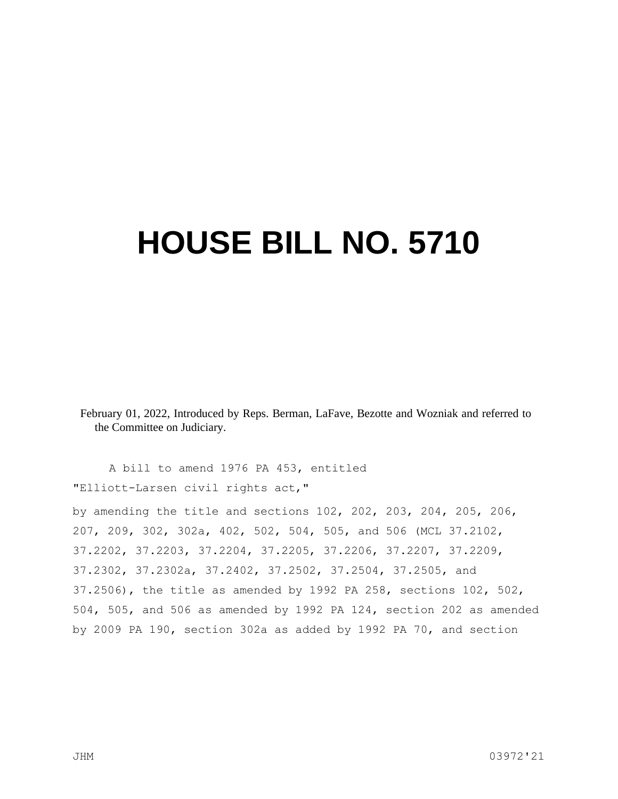# **HOUSE BILL NO. 5710**

February 01, 2022, Introduced by Reps. Berman, LaFave, Bezotte and Wozniak and referred to the Committee on Judiciary.

A bill to amend 1976 PA 453, entitled "Elliott-Larsen civil rights act,"

by amending the title and sections 102, 202, 203, 204, 205, 206, 207, 209, 302, 302a, 402, 502, 504, 505, and 506 (MCL 37.2102, 37.2202, 37.2203, 37.2204, 37.2205, 37.2206, 37.2207, 37.2209, 37.2302, 37.2302a, 37.2402, 37.2502, 37.2504, 37.2505, and 37.2506), the title as amended by 1992 PA 258, sections 102, 502, 504, 505, and 506 as amended by 1992 PA 124, section 202 as amended by 2009 PA 190, section 302a as added by 1992 PA 70, and section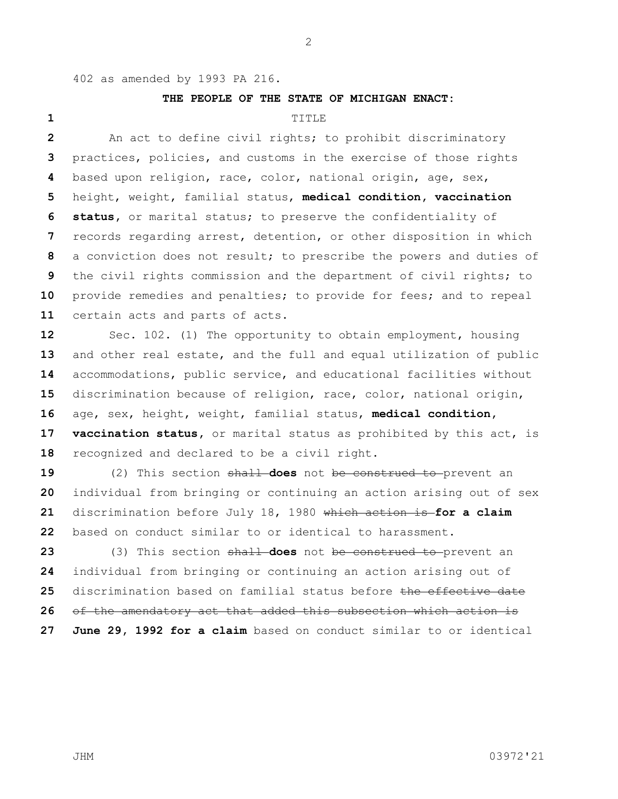402 as amended by 1993 PA 216.

### **THE PEOPLE OF THE STATE OF MICHIGAN ENACT:**

## TITLE

 An act to define civil rights; to prohibit discriminatory practices, policies, and customs in the exercise of those rights based upon religion, race, color, national origin, age, sex, height, weight, familial status, **medical condition, vaccination status,** or marital status; to preserve the confidentiality of records regarding arrest, detention, or other disposition in which a conviction does not result; to prescribe the powers and duties of the civil rights commission and the department of civil rights; to provide remedies and penalties; to provide for fees; and to repeal certain acts and parts of acts.

 Sec. 102. (1) The opportunity to obtain employment, housing and other real estate, and the full and equal utilization of public accommodations, public service, and educational facilities without discrimination because of religion, race, color, national origin, age, sex, height, weight, familial status, **medical condition, vaccination status,** or marital status as prohibited by this act, is recognized and declared to be a civil right.

 (2) This section shall **does** not be construed to prevent an individual from bringing or continuing an action arising out of sex discrimination before July 18, 1980 which action is **for a claim**  based on conduct similar to or identical to harassment.

 (3) This section shall **does** not be construed to prevent an individual from bringing or continuing an action arising out of discrimination based on familial status before the effective date of the amendatory act that added this subsection which action is **June 29, 1992 for a claim** based on conduct similar to or identical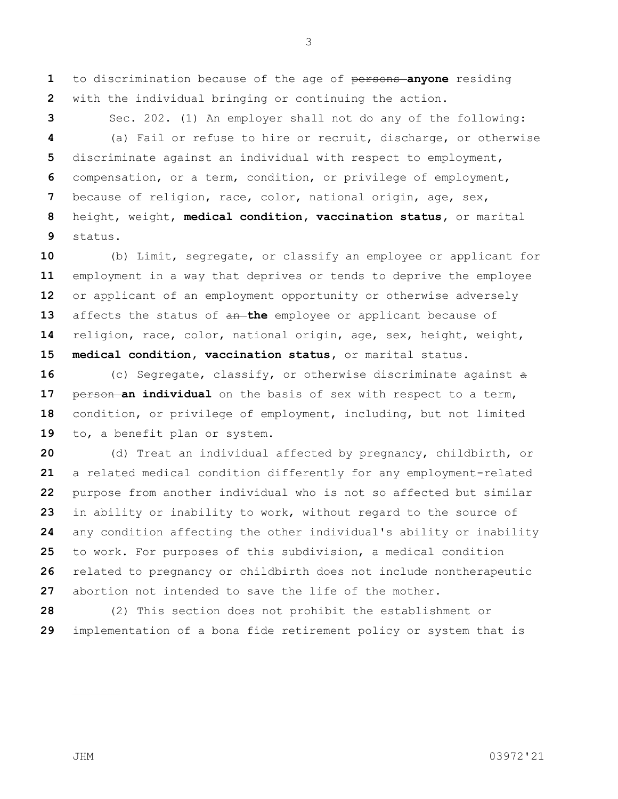to discrimination because of the age of persons **anyone** residing with the individual bringing or continuing the action.

 Sec. 202. (1) An employer shall not do any of the following: (a) Fail or refuse to hire or recruit, discharge, or otherwise discriminate against an individual with respect to employment, compensation, or a term, condition, or privilege of employment, because of religion, race, color, national origin, age, sex, height, weight, **medical condition, vaccination status,** or marital status.

 (b) Limit, segregate, or classify an employee or applicant for employment in a way that deprives or tends to deprive the employee or applicant of an employment opportunity or otherwise adversely affects the status of an **the** employee or applicant because of religion, race, color, national origin, age, sex, height, weight, **medical condition, vaccination status,** or marital status.

 (c) Segregate, classify, or otherwise discriminate against a **person an individual** on the basis of sex with respect to a term, condition, or privilege of employment, including, but not limited to, a benefit plan or system.

 (d) Treat an individual affected by pregnancy, childbirth, or a related medical condition differently for any employment-related purpose from another individual who is not so affected but similar in ability or inability to work, without regard to the source of any condition affecting the other individual's ability or inability to work. For purposes of this subdivision, a medical condition related to pregnancy or childbirth does not include nontherapeutic abortion not intended to save the life of the mother.

 (2) This section does not prohibit the establishment or implementation of a bona fide retirement policy or system that is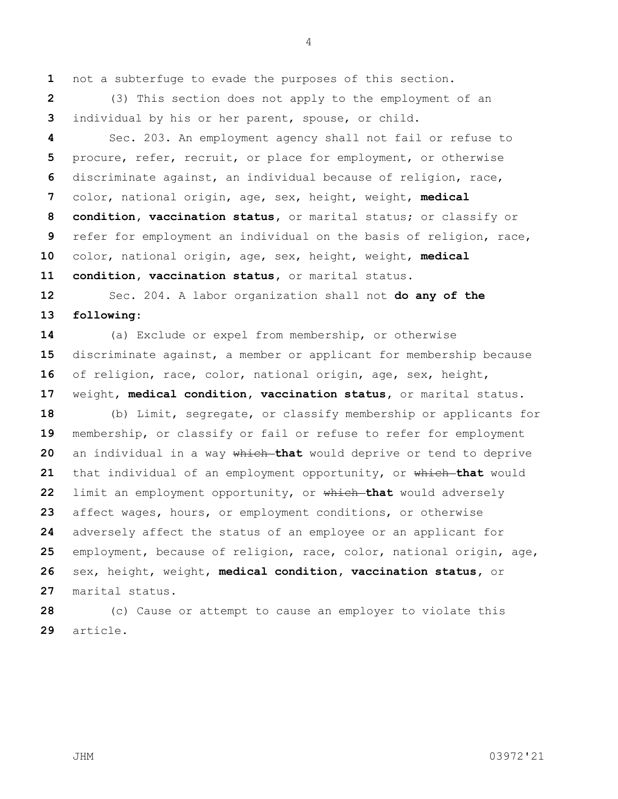not a subterfuge to evade the purposes of this section.

 (3) This section does not apply to the employment of an individual by his or her parent, spouse, or child.

 Sec. 203. An employment agency shall not fail or refuse to procure, refer, recruit, or place for employment, or otherwise discriminate against, an individual because of religion, race, color, national origin, age, sex, height, weight, **medical condition, vaccination status,** or marital status; or classify or refer for employment an individual on the basis of religion, race, color, national origin, age, sex, height, weight, **medical condition, vaccination status,** or marital status.

 Sec. 204. A labor organization shall not **do any of the following**:

 (a) Exclude or expel from membership, or otherwise discriminate against, a member or applicant for membership because of religion, race, color, national origin, age, sex, height, weight, **medical condition, vaccination status,** or marital status. (b) Limit, segregate, or classify membership or applicants for membership, or classify or fail or refuse to refer for employment an individual in a way which **that** would deprive or tend to deprive that individual of an employment opportunity, or which **that** would

 limit an employment opportunity, or which **that** would adversely affect wages, hours, or employment conditions, or otherwise adversely affect the status of an employee or an applicant for employment, because of religion, race, color, national origin, age, sex, height, weight, **medical condition, vaccination status,** or marital status.

 (c) Cause or attempt to cause an employer to violate this article.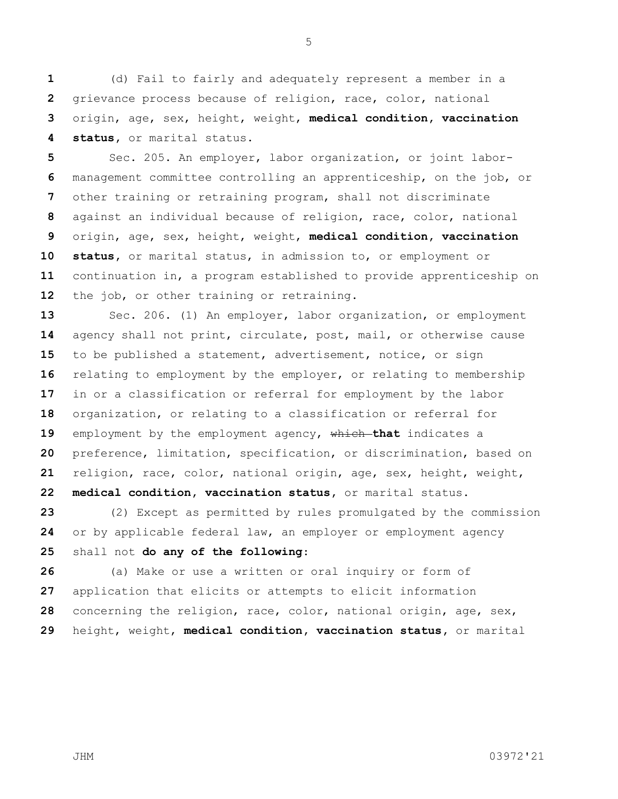(d) Fail to fairly and adequately represent a member in a grievance process because of religion, race, color, national origin, age, sex, height, weight, **medical condition, vaccination status,** or marital status.

 Sec. 205. An employer, labor organization, or joint labor- management committee controlling an apprenticeship, on the job, or other training or retraining program, shall not discriminate against an individual because of religion, race, color, national origin, age, sex, height, weight, **medical condition, vaccination status,** or marital status, in admission to, or employment or continuation in, a program established to provide apprenticeship on the job, or other training or retraining.

 Sec. 206. (1) An employer, labor organization, or employment agency shall not print, circulate, post, mail, or otherwise cause to be published a statement, advertisement, notice, or sign relating to employment by the employer, or relating to membership in or a classification or referral for employment by the labor organization, or relating to a classification or referral for 19 employment by the employment agency, which that indicates a preference, limitation, specification, or discrimination, based on religion, race, color, national origin, age, sex, height, weight, **medical condition, vaccination status,** or marital status.

 (2) Except as permitted by rules promulgated by the commission or by applicable federal law, an employer or employment agency shall not **do any of the following**:

 (a) Make or use a written or oral inquiry or form of application that elicits or attempts to elicit information concerning the religion, race, color, national origin, age, sex, height, weight, **medical condition, vaccination status,** or marital

JHM 03972'21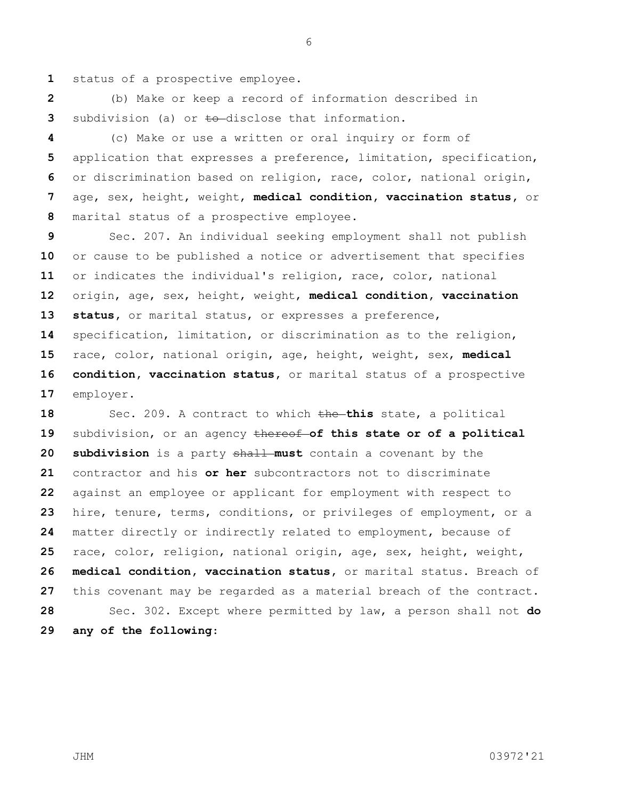status of a prospective employee.

 (b) Make or keep a record of information described in subdivision (a) or to disclose that information.

 (c) Make or use a written or oral inquiry or form of application that expresses a preference, limitation, specification, or discrimination based on religion, race, color, national origin, age, sex, height, weight, **medical condition, vaccination status,** or marital status of a prospective employee.

 Sec. 207. An individual seeking employment shall not publish or cause to be published a notice or advertisement that specifies or indicates the individual's religion, race, color, national origin, age, sex, height, weight, **medical condition, vaccination status,** or marital status, or expresses a preference, specification, limitation, or discrimination as to the religion, race, color, national origin, age, height, weight, sex, **medical condition, vaccination status,** or marital status of a prospective employer.

 Sec. 209. A contract to which the **this** state, a political subdivision, or an agency thereof **of this state or of a political subdivision** is a party shall **must** contain a covenant by the contractor and his **or her** subcontractors not to discriminate against an employee or applicant for employment with respect to hire, tenure, terms, conditions, or privileges of employment, or a matter directly or indirectly related to employment, because of race, color, religion, national origin, age, sex, height, weight, **medical condition, vaccination status,** or marital status. Breach of this covenant may be regarded as a material breach of the contract. Sec. 302. Except where permitted by law, a person shall not **do any of the following**: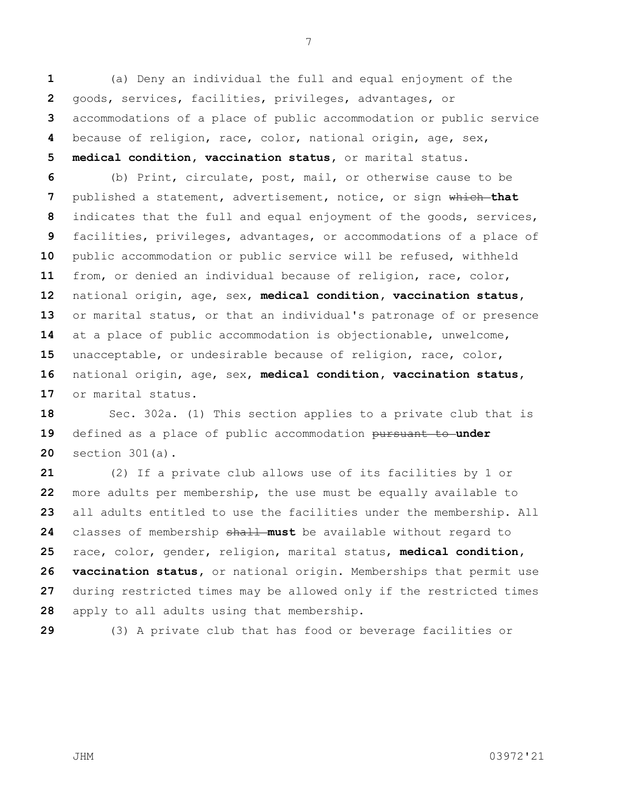(a) Deny an individual the full and equal enjoyment of the goods, services, facilities, privileges, advantages, or accommodations of a place of public accommodation or public service because of religion, race, color, national origin, age, sex,

**medical condition, vaccination status,** or marital status.

 (b) Print, circulate, post, mail, or otherwise cause to be published a statement, advertisement, notice, or sign which **that** indicates that the full and equal enjoyment of the goods, services, facilities, privileges, advantages, or accommodations of a place of public accommodation or public service will be refused, withheld from, or denied an individual because of religion, race, color, national origin, age, sex, **medical condition, vaccination status,**  or marital status, or that an individual's patronage of or presence at a place of public accommodation is objectionable, unwelcome, unacceptable, or undesirable because of religion, race, color, national origin, age, sex, **medical condition, vaccination status,**  or marital status.

 Sec. 302a. (1) This section applies to a private club that is defined as a place of public accommodation pursuant to **under** section 301(a).

 (2) If a private club allows use of its facilities by 1 or more adults per membership, the use must be equally available to all adults entitled to use the facilities under the membership. All classes of membership shall **must** be available without regard to race, color, gender, religion, marital status, **medical condition, vaccination status,** or national origin. Memberships that permit use during restricted times may be allowed only if the restricted times apply to all adults using that membership.

(3) A private club that has food or beverage facilities or

JHM 03972'21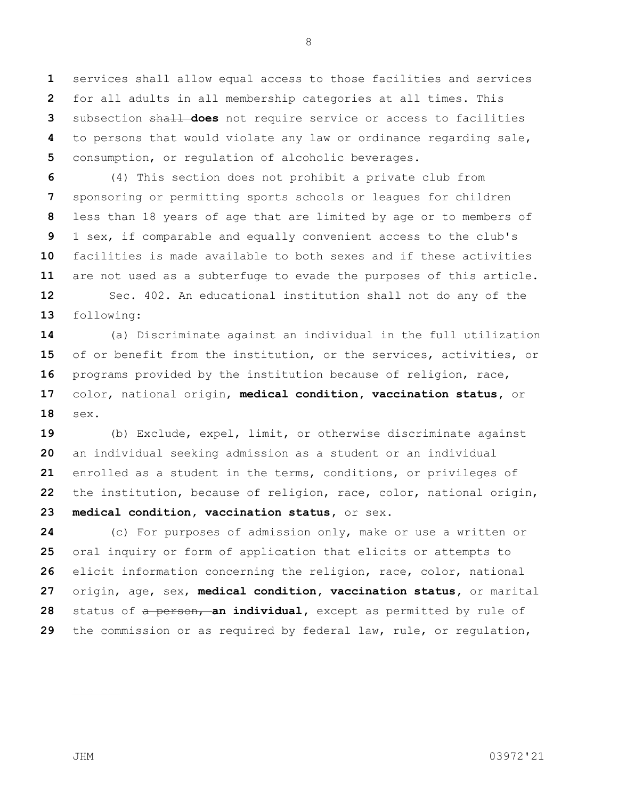services shall allow equal access to those facilities and services for all adults in all membership categories at all times. This subsection shall **does** not require service or access to facilities to persons that would violate any law or ordinance regarding sale, consumption, or regulation of alcoholic beverages.

 (4) This section does not prohibit a private club from sponsoring or permitting sports schools or leagues for children less than 18 years of age that are limited by age or to members of 1 sex, if comparable and equally convenient access to the club's facilities is made available to both sexes and if these activities are not used as a subterfuge to evade the purposes of this article. Sec. 402. An educational institution shall not do any of the following:

 (a) Discriminate against an individual in the full utilization of or benefit from the institution, or the services, activities, or programs provided by the institution because of religion, race, color, national origin, **medical condition, vaccination status,** or sex**.**

 (b) Exclude, expel, limit, or otherwise discriminate against an individual seeking admission as a student or an individual enrolled as a student in the terms, conditions, or privileges of the institution, because of religion, race, color, national origin, **medical condition, vaccination status,** or sex**.**

 (c) For purposes of admission only, make or use a written or oral inquiry or form of application that elicits or attempts to elicit information concerning the religion, race, color, national origin, age, sex, **medical condition, vaccination status,** or marital 28 status of a person, an individual, except as permitted by rule of the commission or as required by federal law, rule, or regulation,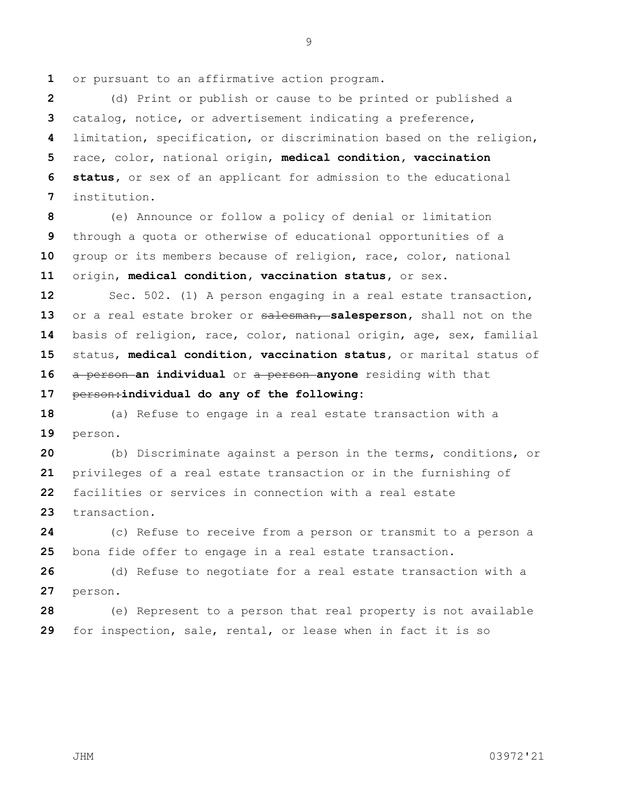or pursuant to an affirmative action program.

 (d) Print or publish or cause to be printed or published a catalog, notice, or advertisement indicating a preference, limitation, specification, or discrimination based on the religion, race, color, national origin, **medical condition, vaccination status,** or sex of an applicant for admission to the educational institution.

 (e) Announce or follow a policy of denial or limitation through a quota or otherwise of educational opportunities of a group or its members because of religion, race, color, national origin, **medical condition, vaccination status,** or sex**.**

 Sec. 502. (1) A person engaging in a real estate transaction, or a real estate broker or salesman, **salesperson,** shall not on the basis of religion, race, color, national origin, age, sex, familial status, **medical condition, vaccination status,** or marital status of a person **an individual** or a person **anyone** residing with that

person:**individual do any of the following:**

 (a) Refuse to engage in a real estate transaction with a person.

 (b) Discriminate against a person in the terms, conditions, or privileges of a real estate transaction or in the furnishing of facilities or services in connection with a real estate transaction.

 (c) Refuse to receive from a person or transmit to a person a bona fide offer to engage in a real estate transaction.

 (d) Refuse to negotiate for a real estate transaction with a person.

 (e) Represent to a person that real property is not available for inspection, sale, rental, or lease when in fact it is so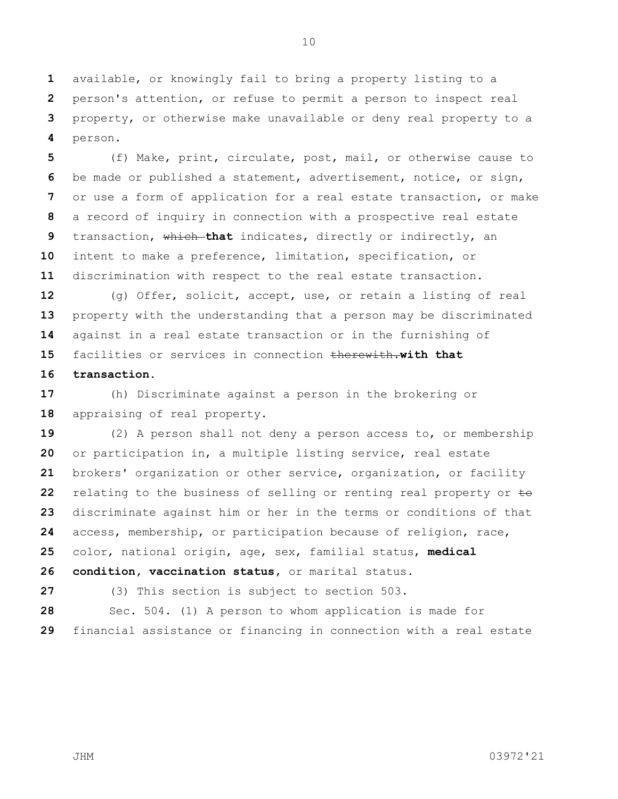available, or knowingly fail to bring a property listing to a person's attention, or refuse to permit a person to inspect real property, or otherwise make unavailable or deny real property to a person.

 (f) Make, print, circulate, post, mail, or otherwise cause to be made or published a statement, advertisement, notice, or sign, or use a form of application for a real estate transaction, or make a record of inquiry in connection with a prospective real estate transaction, which **that** indicates, directly or indirectly, an intent to make a preference, limitation, specification, or discrimination with respect to the real estate transaction.

 (g) Offer, solicit, accept, use, or retain a listing of real property with the understanding that a person may be discriminated against in a real estate transaction or in the furnishing of facilities or services in connection therewith.**with that** 

## **transaction.**

 (h) Discriminate against a person in the brokering or appraising of real property.

 (2) A person shall not deny a person access to, or membership or participation in, a multiple listing service, real estate brokers' organization or other service, organization, or facility relating to the business of selling or renting real property or to discriminate against him or her in the terms or conditions of that access, membership, or participation because of religion, race, color, national origin, age, sex, familial status, **medical condition, vaccination status,** or marital status.

(3) This section is subject to section 503.

 Sec. 504. (1) A person to whom application is made for financial assistance or financing in connection with a real estate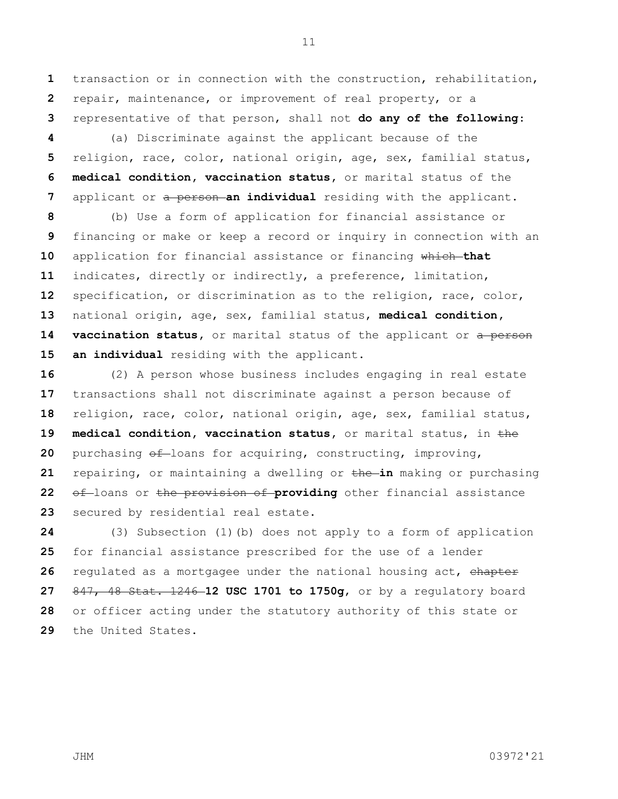transaction or in connection with the construction, rehabilitation, repair, maintenance, or improvement of real property, or a representative of that person, shall not **do any of the following**:

 (a) Discriminate against the applicant because of the religion, race, color, national origin, age, sex, familial status, **medical condition, vaccination status,** or marital status of the applicant or a **person an individual** residing with the applicant.

 (b) Use a form of application for financial assistance or financing or make or keep a record or inquiry in connection with an application for financial assistance or financing which **that** indicates, directly or indirectly, a preference, limitation, specification, or discrimination as to the religion, race, color, national origin, age, sex, familial status, **medical condition, vaccination status,** or marital status of the applicant or a person **an individual** residing with the applicant.

 (2) A person whose business includes engaging in real estate transactions shall not discriminate against a person because of religion, race, color, national origin, age, sex, familial status, **medical condition, vaccination status,** or marital status, in the 20 purchasing  $\theta$ f-loans for acquiring, constructing, improving, repairing, or maintaining a dwelling or the **in** making or purchasing of loans or the provision of providing other financial assistance secured by residential real estate.

 (3) Subsection (1)(b) does not apply to a form of application for financial assistance prescribed for the use of a lender regulated as a mortgagee under the national housing act, chapter 847, 48 Stat. 1246 **12 USC 1701 to 1750g**, or by a regulatory board or officer acting under the statutory authority of this state or the United States.

JHM 03972'21